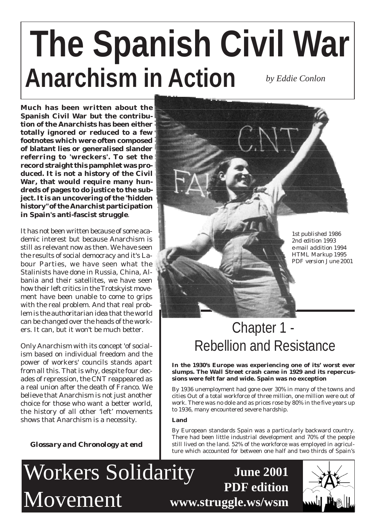# **Anarchism in Action The Spanish Civil War** *by Eddie Conlon*

**Much has been written about the Spanish Civil War but the contribution of the Anarchists has been either totally ignored or reduced to a few footnotes which were often composed of blatant lies or generalised slander referring to 'wreckers'. To set the record straight this pamphlet was produced. It is not a history of the Civil War, that would require many hundreds of pages to do justice to the subject. It is an uncovering of the "hidden history" of the Anarchist participation in Spain's anti-fascist struggle**.

It has not been written because of some academic interest but because Anarchism is still as relevant now as then. We have seen the results of social democracy and it's Labour Parties, we have seen what the Stalinists have done in Russia, China, Albania and their satellites, we have seen how their left critics in the Trotskyist movement have been unable to come to grips with the real problem. And that real problem is the authoritarian idea that the world can be changed over the heads of the workers. It can, but it won't be much better.

Only Anarchism with its concept 'of socialism based on individual freedom and the power of workers' councils stands apart from all this. That is why, despite four decades of repression, the CNT reappeared as a real union after the death of Franco. We believe that Anarchism is not just another choice for those who want a better world, the history of all other 'left' movements shows that Anarchism is a necessity.

*Glossary and Chronology at end*

*1st published 1986 2nd edition 1993 e-mail addition 1994 HTML Markup 1995 PDF version June 2001*

# Chapter 1 - Rebellion and Resistance

**In the 1930's Europe was experiencing one of its' worst ever slumps. The Wall Street crash came in 1929 and its repercussions were felt far and wide. Spain was no exception**

By 1936 unemployment had gone over 30% in many of the towns and cities Out of a total workforce of three million, one million were out of work. There was no dole and as prices rose by 80% in the five years up to 1936, many encountered severe hardship.

# **Land**

By European standards Spain was a particularly backward country. There had been little industrial development and 70% of the people still lived on the land. 52% of the workforce was employed in agriculture which accounted for between one half and two thirds of Spain's

**June 2001**

**PDF edition**

Workers Solidarity Movement

**www.struggle.ws/wsm**

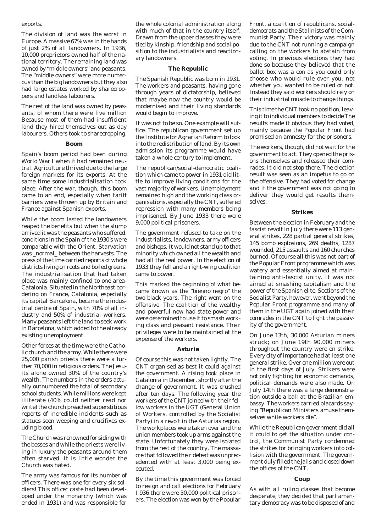#### exports.

The division of land was the worst in Europe. A massive 67% was in the hands of just 2% of all landowners. In 1936, 10,000 proprietors owned half of the national territory. The remaining land was owned by "middle owners" and peasants. The "middle owners" were more numerous than the big landowners but they also had large estates worked by sharecroppers and landless labourers.

The rest of the land was owned by peasants, of whom there were five million Because most of them had insufficient land they hired themselves out as day labourers. Others took to sharecropping.

#### **Boom**

Spain's boom period had been during World War I when it had remained neutral. Agriculture thrived due to the large foreign markets for its exports. At the same time some industrialisation took place. After the war, though, this boom came to an end, especially when tariff barriers were thrown up by Britain and France against Spanish exports.

While the boom lasted the landowners reaped the benefits but when the slump arrived it was the peasants who suffered. conditions in the Spain of the 1930's were comparable with the Orient. Starvation was normal between the harvests. The press of the time carried reports of whole districts living on roots and boiled greens. The industrialisation that had taken place was mainly confined to one area-Catalonia. Situated in the Northeast bordering on France, Catalonia, especially its capital Barcelona, became the industrial centre of Spain, with 70% of all industry and 50% of industrial workers. Many peasants left the land to seek work in Barcelona, which added to the already existing unemployment.

Other forces at the time were the Catholic church and the army. While there were 25,000 parish priests there were a further 70,000 in religious orders. The Jesuits alone owned 30% of the country's wealth. The numbers in the orders actually outnumbered the total of secondary school students. While millions were kept illiterate (40% could neither read nor write) the church preached superstitious reports of incredible incidents such as statues seen weeping and crucifixes exuding blood.

The Church was renowned for siding with the bosses and while the priests were living in luxury the peasants around them often starved. It is little wonder the Church was hated.

The army was famous for its number of officers. There was one for every six soldiers! This officer caste had been developed under the monarchy (which was ended in 1931) and was responsible for the whole colonial administration along with much of that in the country itself. Drawn from the upper classes they were tied by kinship, friendship and social position to the industrialists and reactionary landowners.

#### **The Republic**

The Spanish Republic was born in 1931. The workers and peasants, having gone through years of dictatorship, believed that maybe now the country would be modernised and their living standards would begin to improve.

It was not to be so. One example will suffice. The republican government set up the Institute for Agrarian Reform to look into the redistribution of land. By its own admission its programme would have taken a whole century to implement.

The republican/social-democratic coalition which came to power in 1931 did little to improve living conditions for the vast majority of workers. Unemployment remained high and the working class organisations, especially the CNT, suffered repression with many members being imprisoned. By June 1933 there were 9,000 political prisoners.

The government refused to take on the industrialists, landowners, army officers and bishops. It would not stand up to that minority which owned all the wealth and had all the real power. In the election of 1933 they fell and a right-wing coalition came to power.

This marked the beginning of what became known as the "bienno negro" the two black years. The right went on the offensive. The coalition of the wealthy and powerful now had state power and were determined to use it to smash working class and peasant resistance. Their privileges were to be maintained at the expense of the workers.

#### **Asturia**

Of course this was not taken lightly. The CNT organised as best it could against the government. A rising took place in Catalonia in December, shortly after the change of government. It was crushed after ten days. The following year the workers of the CNT joined with their fellow workers in the UGT (General Union of Workers, controlled by the Socialist Party) in a revolt in the Asturias region. The workplaces were taken over and the union members took up arms against the state. Unfortunately they were isolated from the rest of the country. The massacre that followed their defeat was unprecedented with at least 3,000 being executed.

By the time this government was forced to resign and call elections for February I 936 there were 30,000 political prisoners. The election was won by the Popular

Front, a coalition of republicans, socialdemocrats and the Stalinists of the Communist Party. Their victory was mainly due to the CNT not running a campaign calling on the workers to abstain from voting. In previous elections they had done so because they believed that the ballot box was a con as you could only choose who would rule over you, not whether you wanted to be ruled or not. Instead they said workers should rely on their industrial muscle to change things.

This time the CNT took no position, leaving it to individual members to decide The results made it obvious they had voted, mainly because the Popular Front had promised an amnesty for the prisoners.

The workers, though, did not wait for the government to act. They opened the prisons themselves and released their comrades. It did not stop there. The election result was seen as an impetus to go on the offensive. They had voted for change and if the government was not going to deliver they would get results themselves.

#### **Strikes**

Between the election in February and the fascist revolt in July there were 113 general strikes, 228 partial general strikes, 145 bomb explosions, 269 deaths, 1287 wounded, 215 assaults and 160 churches burned. Of course all this was not part of the Popular Front programme which was watery and essentially aimed at maintaining anti-fascist unity. It was not aimed at smashing capitalism and the power of the Spanish elite. Sections of the Socialist Party, however, went beyond the Popular Front programme and many of them in the UGT again joined with their comrades in the CNT to fight the passivity of the government.

On June 13th, 30,000 Asturian miners struck; on June 19th 90,000 miners throughout the country were on strike. Every city of importance had at least one general strike. Over one million were out in the first days of July. Strikers were not only fighting for economic demands, political demands were also made. On July 14th there was a large demonstration outside a ball at the Brazilian embassy. The workers carried placards saying "Republican Ministers amuse themselves while workers die".

While the Republican government did all it could to get the situation under control, the Communist Party condemned the strikes for bringing workers into collision with the government. The government duly filled the jails and closed down the offices of the CNT.

#### **Coup**

As with all ruling classes that become desperate, they decided that parliamentary democracy was to be disposed of and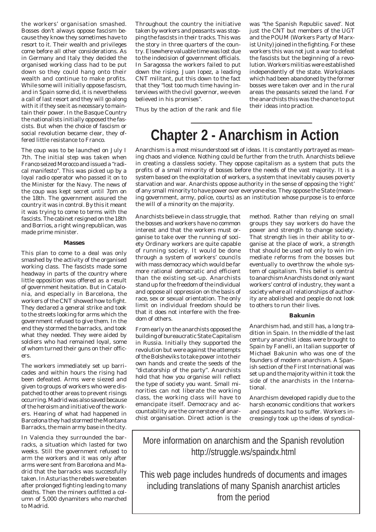the workers' organisation smashed. Bosses don't always oppose fascism because they know they sometimes have to resort to it. Their wealth and privileges come before all other considerations. As in Germany and Italy they decided the organised working class had to be put down so they could hang onto their wealth and continue to make profits. While some will initially oppose fascism, and in Spain some did, it is nevertheless a call of last resort and they will go along with it if they see it as necessary to maintain their power. In the Basque Country the nationalists initially opposed the fascists. But when the choice of fascism or social revolution became clear, they offered little resistance to Franco.

The coup was to be launched on July I 7th. The initial step was taken when Franco seized Morocco and issued a "radical manifesto". This was picked up by a loyal radio operator who passed it on to the Minister for the Navy. The news of the coup was kept secret until 7pm on the 18th. The government assured the country it was in control. By this it meant it was trying to come to terms with the fascists. The cabinet resigned on the 18th and Borrios, a right wing republican, was made prime minister.

#### **Masses**

This plan to come to a deal was only smashed by the activity of the organised working class. The fascists made some headway in parts of the country where little opposition was offered as a result of government hesitation. But in Catalonia, and especially in Barcelona, the workers of the CNT showed how to fight. They declared a general strike and took to the streets looking for arms which the government refused to give them. In the end they stormed the barracks, and took what they needed. They were aided by soldiers who had remained loyal, some of whom turned their guns on their officers.

The workers immediately set up barricades and within hours the rising had been defeated. Arms were siezed and given to groups of workers who were dispatched to other areas to prevent risings occurring. Madrid was also saved because of the heroism and initiative of the workers. Hearing of what had happened in Barcelona they had stormed the Montana Barracks, the main army base in the city.

In Valencia they surrounded the barracks, a situation which lasted for two weeks. Still the government refused to arm the workers and it was only after arms were sent from Barcelona and Madrid that the barracks was successfully taken. In Asturias the rebels were beaten after prolonged fighting leading to many deaths. Then the miners outfitted a column of 5,000 dynamiters who marched to Madrid.

Throughout the country the initiative taken by workers and peasants was stopping the fascists in their tracks. This was the story in three quarters of the country. Elsewhere valuable time was lost due to the indecision of government officials. In Saragossa the workers failed to put down the rising. Juan Iopez, a leading CNT militant, put this down to the fact that they "lost too much time having interviews with the civil governor, we even believed in his promises".

Thus by the action of the rank and file

was "the Spanish Republic saved'. Not just the CNT but members of the UGT and the POUM (Workers Party of Marxist Unity) joined in the fighting. For these workers this was not just a war to defeat the fascists but the beginning of a revolution. Workers militias were established independently of the state. Workplaces which had been abandoned by the former bosses were taken over and in the rural areas the peasants seized the land. For the anarchists this was the chance to put their ideas into practice.

**Chapter 2 - Anarchism in Action**

Anarchism is a most misunderstood set of ideas. It is constantly portrayed as meaning chaos and violence. Nothing could be further from the truth. Anarchists believe in creating a classless society. They oppose capitalism as a system that puts the profits of a small minority of bosses before the needs of the vast majority. It is a system based on the exploitation of workers, a system that inevitably causes poverty starvation and war. Anarchists oppose authority in the sense of opposing the 'right' of any small minority to have power over everyone else. They oppose the State (meaning government, army, police, courts) as an institution whose purpose is to enforce the will of a minority on the majority.

Anarchists believe in class struggle, that the bosses and workers have no common interest and that the workers must organise to take over the running of society Ordinary workers are quite capable of running society. It would be done through a system of workers' councils with mass democracy which would be far more rational democratic and efficient than the existing set-up. Anarchists stand up for the freedom of the individual and oppose all oppression on the basis of race, sex or sexual orientation. The only limit on individual freedom should be that it does not interfere with the freedom of others.

From early on the anarchists opposed the building of bureaucratic State Capitalism in Russia. Initially they supported the revolution but were against the attempts of the Bolsheviks to take power into their own hands and create the seeds of the "dictatorship of the party". Anarchists hold that how you organise will reflect the type of society you want. Small minorities can not liberate the working class, the working class will have to emancipate itself. Democracy and accountability are the cornerstone of anarchist organisation. Direct action is the

method. Rather than relying on small groups they say workers do have the power and strength to change society. That strength lies in their ability to organise at the place of work, a strength that should be used not only to win immediate reforms from the bosses but eventually to overthrow the whole system of capitalism. This belief is central to anarchism Anarchists do not only want workers' control of industry, they want a society where all relationships of authority are abolished and people do not look to others to run their lives.

#### **Bakunin**

Anarchism had, and still has, a long tradition in Spain. In the middle of the last century anarchist ideas were brought to Spain by Fanelli, an Italian supporter of Michael Bakunin who was one of the founders of modern anarchism. A Spanish section of the First International was set up and the majority within it took the side of the anarchists in the International.

Anarchism developed rapidly due to the harsh economic conditions that workers and peasants had to suffer. Workers increasingly took up the ideas of syndical-

More information on anarchism and the Spanish revolution http://struggle.ws/spaindx.html

This web page includes hundreds of documents and images including translations of many Spanish anarchist articles from the period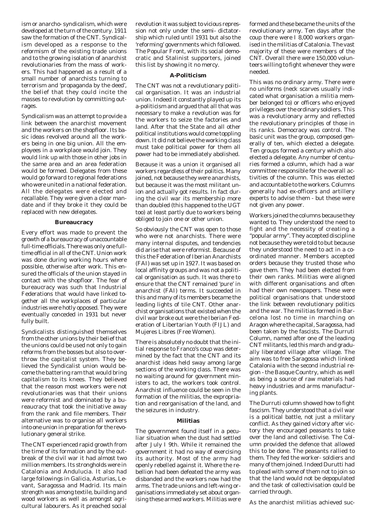ism or anarcho- syndicalism, which were developed at the turn of the century. 1911 saw the formation of the CNT. Syndicalism developed as a response to the reformism of the existing trade unions and to the growing isolation of anarchist revolutionaries from the mass of workers. This had happened as a result of a small number of anarchists turning to terrorism and 'propaganda by the deed', the belief that they could incite the masses to revolution by committing outrages.

Syndicalism was an attempt to provide a link between the anarchist movement and the workers on the shopfloor. Its basic ideas revolved around all the workers being in one big union. All the employees in a workplace would join. They would link up with those in other jobs in the same area and an area federation would be formed. Delegates from these would go forward to regional federations who were united in a national federation. All the delegates were elected and recallable. They were given a clear mandate and if they broke it they could be replaced with new delegates.

#### **Bureaucracy**

Every effort was made to prevent the growth of a bureaucracy of unaccountable full-time officials. There was only one fulltime official in all of the CNT. Union work was done during working hours where possible, otherwise after work. This ensured the officials of the union stayed in contact with the shopfloor. The fear of bureaucracy was such that Industrial Federations that would have linked together all the workplaces of particular industries were hotly opposed. They were eventually conceded in 1931 but never fully built.

Syndicalists distinguished themselves from the other unions by their belief that the unions could be used not only to gain reforms from the bosses but also to overthrow the capitalist system. They believed the Syndicalist union would become the battering ram that would bring capitalism to its knees. They believed that the reason most workers were not revolutionaries was that their unions were reformist and dominated by a bureaucracy that took the initiative away from the rank and file members. Their alternative was to organise all workers into one union in preparation for the revolutionary general strike.

The CNT experienced rapid growth from the time of its formation and by the outbreak of the civil war it had almost two million members. Its strongholds were in Catalonia and Andulucia. It also had large followings in Galicia, Asturias, Levant, Saragossa and Madrid. Its main strength was among textile, building and wood workers as well as amongst agricultural labourers. As it preached social

revolution it was subject to vicious repression not only under the semi- dictatorship which ruled until 1931 but also the 'reforming' governments which followed. The Popular Front, with its social democratic and Stalinist supporters, joined this list by showing it no mercy.

#### **A-Politicism**

The CNT was not a revolutionary political organisation. It was an industrial union. Indeed it constantly played up its a-politicism and argued that all that was necessary to make a revolution was for the workers to seize the factories and land. After that the State and all other political institutions would come toppling down. It did not believe the working class must take political power for them all power had to be immediately abolished.

Because it was a union it organised all workers regardless of their politics. Many joined, not because they were anarchists, but because it was the most militant union and actually got results. In fact during the civil war its membership more than doubled (this happened to the UGT too) at least partly due to workers being obliged to join one or other union.

So obviously the CNT was open to those who were not anarchists. There were many internal disputes, and tendencies did arise that were reformist. Because of this the Federation of Iberian Anarchists (FAI) was set up in 1927. It was based on local affinity groups and was not a political organisation as such. It was there to ensure that the CNT remained 'pure' in anarchist (FAI) terms. It succeeded in this and many of its members became the leading lights of tile CNT. Other anarchist organisations that existed when the civil war broke out were the Iberian Federation of Libertarian Youth (FIJL) and Mujeres Libres (Free Women).

There is absolutely no doubt that the initial response to Franco's coup was determined by the fact that the CNT and its anarchist ideas held sway among large sections of the working class. There was no waiting around for government ministers to act, the workers took control. Anarchist influence could be seen in the formation of the militias, the expropriation and reorganisation of the land, and the seizures in industry.

#### **Militias**

The government found itself in a peculiar situation when the dust had settled after July I 9th. While it remained the government it had no way of exercising its authority. Most of the army had openly rebelled against it. Where the rebellion had been defeated the army was disbanded and the workers now had the arms. The trade unions and left-wing organisations immediately set about organising these armed workers. Militias were

formed and these became the units of the revolutionary army. Ten days after the coup there were I 8,000 workers organised in the militias of Catalonia. The vast majority of these were members of the CNT. Overall there were 150,000 volunteers willing to fight whenever they were needed.

This was no ordinary army. There were no uniforms (neck scarves usually indicated what organisation a militia member belonged to) or officers who enjoyed privileges over the ordinary soldiers. This was a revolutionary army and reflected the revolutionary principles of those in its ranks. Democracy was control. The basic unit was the group, composed generally of ten, which elected a delegate. Ten groups formed a century which also elected a delegate. Any number of centuries formed a column, which had a war committee responsible for the overall activities of the column. This was elected and accountable to the workers. Columns generally had ex-officers and artillery experts to advise them - but these were not given any power.

Workers joined the columns because they wanted to. They understood the need to fight and the necessity of creating a "popular army". They accepted discipline not because they were told to but because they understood the need to act in a coordinated manner. Members accepted orders because they trusted those who gave them. They had been elected from their own ranks. Militias were aligned with different organisations and often had their own newspapers. These were political organisations that understood the link between revolutionary politics and the war. The militias formed in Barcelona lost no time in marching on Aragon where the capital, Saragossa, had been taken by the fascists. The Durruti Column, named after one of the leading CNT militants, led this march and gradually liberated village after village. The aim was to free Saragossa which linked Catalonia with the second industrial region - the Basque Country, which as well as being a source of raw materials had heavy industries and arms manufacturing plants.

The Durruti column showed how to fight fascism. They understood that a civil war is a political battle, not just a military conflict. As they gained victory after victory they encouraged peasants to take over the land and collectivise. The Column provided the defence that allowed this to be done. The peasants rallied to them. They fed the worker- soldiers and many of them joined. Indeed Durutti had to plead with some of them not to join so that the land would not be depopulated and the task of collectivisation could be carried through.

As the anarchist militias achieved suc-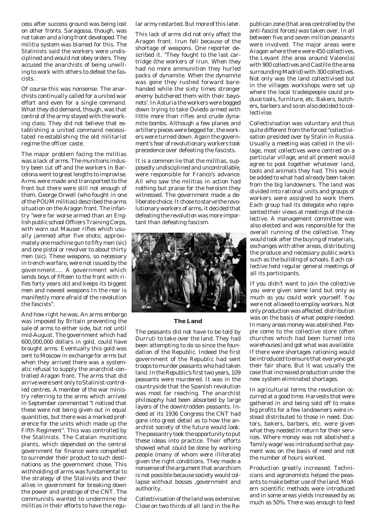cess after success ground was being lost on other fronts. Saragossa, though, was not taken and a long front developed. The militia system was blamed for this. The Stalinists said the workers were undisciplined and would not obey orders. They accused the anarchists of being unwilling to work with others to defeat the fascists.

Of course this was nonsense. The anarchists continually called for a united war effort and even for a single command. What they did demand, though, was that control of the army stayed with the working class. They did not believe that establishing a united command necessitated re-establishing the old militarist regime the officer caste.

The major problem facing the militias was a lack of arms. The munitions industry been cut off and the workers in Barcelona went to great lengths to improvise. Arms were made and transported to the front but there were still not enough of them. George Orwell (who fought in one of the POUM militias) described the arms situation on the Aragon front. The infantry "were far worse armed than an English public school Officers Training Corps, with worn out Mauser rifles which usually jammed after five shots; approximately one machine gun to fifty men (sic) and one pistol or revolver to about thirty men (sic). These weapons, so necessary in trench warfare, were not issued by the government.... A government which sends boys of fifteen to the front with rifles forty years old and keeps its biggest men and newest weapons In the rear is manifestly more afraid of the revolution the fascists".

And how right he was. An arms embargo was imposed by Britain preventing the sale of arms to either side, but not until mid-August. The government which had 600,000,000 dollars in gold, could have brought arms. Eventually this gold was sent to Moscow in exchange for arms but when they arrived there was a systematic refusal to supply the anarchist-controlled Aragon front. The arms that did arrive were sent only to Stalinist-controlled centres. A member of the war ministry referring to the arms which arrived in September commented "I noticed that these were not being given out in equal quantities, but there was a marked preference for the units which made up the Fifth Regiment". This was controlled by the Stalinists. The Catalan munitions plants, which depended on the central government for finance were compelled to surrender their product to such destinations as the government chose. This withholding of arms was fundamental to the strategy of the Stalinists and their allies in government for breaking down the power and prestige of the CNT. The communists wanted to undermine the militias in their efforts to have the regular army restarted. But more of this later.

This lack of arms did not only affect the Aragon front. Irun fell because of the shortage of weapons. One reporter described it. "They fought to the last cartridge (the workers of Irun. When they had no more ammunition they hurled packs of dynamite. When the dynamite was gone they rushed forward barehanded while the sixty times stronger enemy butchered them with their bayonets'. In Asturia the workers were bogged down trying to take Oviedo armed with little more than rifles and crude dynamite bombs. Although a few planes and artillery pieces were begged for, the workers were turned down. Again the government's fear of revolutionary workers took precedence over defeating the fascists.

It is a common lie that the militias, supposedly undisciplined and uncontrollable, were responsible for Franco's advance. All who saw the militias in action had nothing but praise for the heroism they witnessed. The government made a deliberate choice. It chose to starve the revolutionary workers of arms, it decided that defeating the revolution was more important than defeating fascism.



#### **The Land**

The peasants did not have to be told by Durruti to take over the land. They had been attempting to do so since the foundation of the Republic. Indeed the first government of the Republic had sent troops to murder peasants who had taken land. In the Republic's first two years, 109 peasants were murdered. It was in the countryside that the Spanish revolution was most far reaching. The anarchist philosophy had been absorbed by large layers of the downtrodden peasants. Indeed at its 1936 Congress the CNT had gone into great detail as to how the anarchist society of the future would look. The peasantry took the opportunity to put these ideas into practice. Their efforts showed what could be done by working people (many of whom were illiterate) given the right conditions. They made a nonsense of the argument that anarchism is not possible because society would collapse without bosses ,government and authority.

Collectivisation of the land was extensive. Close on two thirds of all land in the Re-

publican zone (that area controlled by the anti-fascist forces) was taken over. In all between five and seven million peasants were involved. The major areas were Aragon where there were 450 collectives, the Levant (the area around Valencia) with 900 collectives and Castille (the area surrounding Madrid) with 300 collectives. Not only was the land collectivised but in the villages workshops were set up where the local tradespeople could produce tools, furniture, etc. Bakers, butchers, barbers and so on also decided to collectivise.

Collectivisation was voluntary and thus quite different from the forced "collectivisation presided over by Stalin in Russia. Usually a meeting was called in the village, most collectives were centred on a particular village, and all present would agree to pool together whatever land, tools and animals they had. This would be added to what had already been taken from the big landowners. The land was divided into rational units and groups of workers were assigned to work them. Each group had its delegate who represented their views at meetings of the collective. A management committee was also elected and was responsible for the overall running of the collective. They would look after the buying of materials, exchanges with other areas, distributing the produce and necessary public works such as the building of schools. Each collective held regular general meetings of all its participants.

If you didn't want to join the collective you were given some land but only as much as you could work yourself. You were not allowed to employ workers. Not only production was affected, distribution was on the basis of what people needed. In many areas money was abolished. People come to the collective store (often churches which had been turned into warehouses) and got what was available. If there were shortages rationing would be introduced to ensure that everyone got their fair share. But it was usually the case that increased production under the new system eliminated shortages.

In agricultural terms the revolution occurred at a good time. Harvests that were gathered in and being sold off to make big profits for a few landowners were instead distributed to those in need. Doctors, bakers, barbers, etc. were given what they needed in return for their services. Where money was not abolished a 'family wage' was introduced so that payment was on the basis of need and not the number of hours worked.

Production greatly increased. Technicians and agronomists helped the peasants to make better use of the land. Modern scientific methods were introduced and in some areas yields increased by as much as 50%. There was enough to feed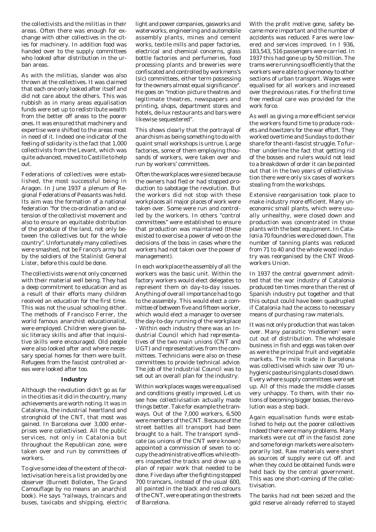the collectivists and the militias in their areas. Often there was enough for exchange with other collectives in the cities for machinery. In addition food was handed over to the supply committees who looked after distribution in the urban areas.

As with the militias, slander was also thrown at the collectives. It was claimed that each one only looked after itself and did not care about the others. This was rubbish as in many areas equalisation funds were set up to redistribute wealth from the better off areas to the poorer ones. It was ensured that machinery and expertise were shifted to the areas most in need of it. Indeed one indicator of the feeling of solidarity is the fact that 1,000 collectivists from the Levant, which was quite advanced, moved to Castille to help out.

Federations of collectives were established, the most successful being in Aragon. In June 1937 a plenum of Regional Federations of Peasants was held. Its aim was the formation of a national federation "for the co-ordination and extension of the collectivist movement and also to ensure an equitable distribution of the produce of the land, not only between the collectives but for the whole country". Unfortunately many collectives were smashed, not be Franco's army but by the soldiers of the Stalinist General Lister, before this could be done.

The collectivists were not only concerned with their material well being. They had a deep commitment to education and as a result of their efforts many children received an education for the first time. This was not the usual schooling either. The methods of Francisco Ferrer, the world famous anarchist educationalist, were employed. Children were given basic literacy skills and after that inquisitive skills were encouraged. Old people were also looked after and where necessary special homes for them were built. Refugees from the fascist controlled areas were looked after too.

### **Industry**

Although the revolution didn't go as far in the cities as it did in the country, many achievements are worth noting. It was in Catalonia, the industrial heartland and stronghold of the CNT, that most was gained. In Barcelona over 3,000 enterprises were collectivised. All the public services, not only in Catalonia but throughout the Republican zone, were taken over and run by committees of workers.

To give some idea of the extent of the collectivisation here is a list provided by one observer (Burnett Bolloten, The Grand Camouflage by no means an anarchist book). He says "railways, traincars and buses, taxicabs and shipping, electric light and power companies, gasworks and waterworks, engineering and automobile assembly plants, mines and cement works, textile mills and paper factories, electrical and chemical concerns, glass bottle factories and perfumeries, food processing plants and breweries were confiscated and controlled by workmens's (sic) committees, either term possessing for the owners almost equal significance". He goes on "motion picture theatres and legitimate theatres, newspapers and printing, shops, department stores and hotels, de-lux restaurants and bars were likewise sequestered".

This shows clearly that the portrayal of anarchism as being something to do with quaint small workshops is untrue. Large factories, some of them employing thousands of workers, were taken over and run by workers' committees.

Often the workplaces were siezed because the owners had fled or had stopped production to sabotage the revolution. But the workers did not stop with these workplaces all major places of work were taken over. Some were run and controlled by the workers. In others "control committees" were established to ensure that production was maintained (these existed to exercise a power of veto on the decisions of the boss in cases where the workers had not taken over the power of management).

In each workplace the assembly of all the workers was the basic unit. Within the factory workers would elect delegates to represent them on day-to-day issues. Anything of overall importance had to go to the assembly. This would elect a committee of between five and fifteen worker, which would elect a manager to oversee the day-to-day running of the workplace - Within each industry there was an Industrial Council which had representatives of the two main unions (CNT and UGT) and representatives from the committees. Technicians were also on these committees to provide technical advice. The job of the Industrial Council was to set out an overall plan for the industry.

Within workplaces wages were equalised and conditions greatly improved. Let us see how collectivisation actually made things better. Take for example the tramways. Out of the 7,000 workers, 6,500 were members of the CNT. Because of the street battles all transport had been brought to a halt. The transport syndicate (as unions of the CNT were known) appointed a commission of seven to occupy the administrative offices while others inspected the tracks and drew up a plan of repair work that needed to be done. Five days after the fighting stopped 700 tramcars, instead of the usual 600, all painted in the black and red colours of the CNT, were operating on the streets of Barcelona.

With the profit motive gone, safety became more important and the number of accidents was reduced. Fares were lowered and services improved. In I 936, 183,543, 516 passengers were carried. In 1937 this had gone up by 50 million. The trams were running so efficiently that the workers were able to give money to other sections of urban transport. Wages were equalised for all workers and increased over the previous rates. For the first time free medical care was provided for the work force.

As well as giving a more efficient service the workers found time to produce rockets and howitzers for the war effort. They worked overtime and Sundays to do their share for the anti-fascist struggle. To further underline the fact that getting rid of the bosses and rulers would not lead to a breakdown of order it can be pointed out that in the two years of collectivisation there were only six cases of workers stealing from the workshops.

Extensive reorganisation took place to make industry more efficient. Many uneconomic small plants, which were usually unhealthy, were closed down and production was concentrated in those plants with the best equipment. In Catalonia 70 foundries were closed down. The number of tanning plants was reduced from 71 to 40 and the whole wood industry was reorganised by the CNT Woodworkers Union.

In 1937 the central government admitted that the war industry of Catalonia produced ten times more than the rest of Spanish industry put together and that this output could have been quadrupled if Catalonia had the access to necessary means of purchasing raw materials.

It was not only production that was taken over. Many parasitic 'middlemen' were cut out of distribution. The wholesale business in fish and eggs was taken over as were the principal fruit and vegetable markets. The milk trade in Barcelona was collectivised which saw over 70 unhygienic pasteurising plants closed down. Every where supply committees were set up. All of this made the middle classes very unhappy. To them, with their notions of becoming bigger bosses, the revolution was a step back.

Again equalisation funds were established to help out the poorer collectives Indeed there were many problems. Many markets were cut off in the fascist zone and some foreign markets were also temporarily lost. Raw materials were short as sources of supply were cut off. and when they could be obtained funds were held back by the central government. This was one short-coming of the collectivisation.

The banks had not been seized and the gold reserve already referred to stayed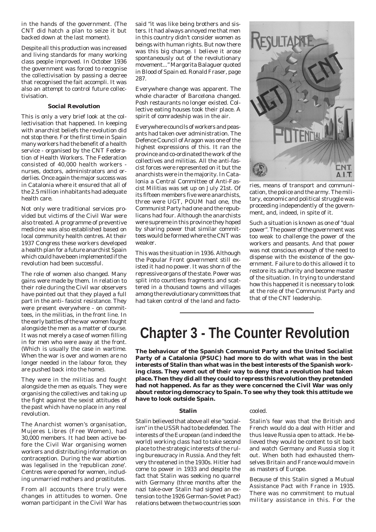in the hands of the government. (The CNT did hatch a plan to seize it but backed down at the last moment).

Despite all this production was increased and living standards for many working class people improved. In October 1936 the government was forced to recognise the collectivisation by passing a decree that recognised the fait accompli. It was also an attempt to control future collectivisation.

### **Social Revolution**

This is only a very brief look at the collectivisation that happened. In keeping with anarchist beliefs the revolution did not stop there. For the first time in Spain many workers had the benefit of a health service - organised by the CNT Federation of Health Workers. The Federation consisted of 40,000 health workers nurses, doctors, administrators and orderlies. Once again the major success was in Catalonia where it ensured that all of the 2.5 million inhabitants had adequate health care.

Not only were traditional services provided but victims of the Civil War were also treated. A programme of preventive medicine was also established based on local community health centres. At their 1937 Congress these workers developed a health plan for a future anarchist Spain which could have been implemented if the revolution had been successful.

The role of women also changed. Many gains were made by them. In relation to their role during the Civil war observers have pointed out that they played a full part in the anti- fascist resistance. They were present everywhere - on committees, in the militias, in the front line. In the early battles of the war women fought alongside the men as a matter of course. It was not merely a case of women filling in for men who were away at the front. (Which is usually the case in wartime. When the war is over and women are no longer needed in the labour force, they are pushed back into the home).

They were in the militias and fought alongside the men as equals. They were organising the collectives and taking up the fight against the sexist attitudes of the past which have no place in any real revolution.

The Anarchist women's organisation, Mujeres Libres (Free Women), had 30,000 members. It had been active before the Civil War organising women workers and distributing information on contraception. During the war abortion was legalised in the 'republican zone'. Centres were opened for women, including unmarried mothers and prostitutes.

From all accounts there truly were changes in attitudes to women. One woman participant in the Civil War has said "it was like being brothers and sisters. It had always annoyed me that men in this country didn't consider women as beings with human rights. But now there was this big change. I believe it arose spontaneously out of the revolutionary movement..." Margorita Balaguer quoted in Blood of Spain ed. Ronald Fraser, page 287.

Everywhere change was apparent. The whole character of Barcelona changed. Posh restaurants no longer existed. Collective eating houses took their place. A spirit of comradeship was in the air.

Everywhere councils of workers and peasants had taken over administration. The Defence Council of Aragon was one of the highest expressions of this. It ran the province and co-ordinated the work of the collectives and militias. All the anti-fascist forces were represented on it but the anarchists were in the majority. In Catalonia a Central Committee of Anti-Fascist Militias was set up on July 21st. Of its fifteen members five were anarchists, three were UGT, POUM had one, the Communist Party had one and the republicans had four. Although the anarchists were supreme in this province they hoped by sharing power that similar committees would be formed where the CNT was weaker.

This was the situation in 1936. Although the Popular Front government still existed it had no power. It was shorn of the repressive organs of the state. Power was split into countless fragments and scattered in a thousand towns and villages among the revolutionary committees that had taken control of the land and facto-



ries, means of transport and communication, the police and the army. The military, economic and political struggle was proceeding independently of the government, and, indeed, in spite of it.

Such a situation is known as one of "dual power". The power of the government was too weak to challenge the power of the workers and peasants. And that power was not conscious enough of the need to dispense with the existence of the government. Failure to do this allowed it to restore its authority and become master of the situation. In trying to understand how this happened it is necessary to look at the role of the Communist Party and that of the CNT leadership.

# **Chapter 3 - The Counter Revolution**

**The behaviour of the Spanish Communist Party and the United Socialist Party of a Catalonia (PSUC) had more to do with what was in the best interests of Stalin than what was in the best interests of the Spanish working class. They went out of their way to deny that a revolution had taken place. Then they did all they could to repress this revolution they pretended had not happened. As far as they were concerned the Civil War was only about restoring democracy to Spain. To see why they took this attitude we have to look outside Spain.**

#### **Stalin**

Stalin believed that above all else "socialism" in the USSR had to be defended. The interests of the European (and indeed the world) working class had to take second place to the strategic interests of the ruling bureaucracy in Russia. And they felt very threatened in the 1930s. Hitler had come to power in 1933 and despite the fact that Stalin was seeking no quarrel with Germany (three months after the nazi take-over Stalin had signed an extension to the 1926 German-Soviet Pact) relations between the two countries soon

#### cooled.

Stalin's fear was that the British and French would do a deal with Hitler and thus leave Russia open to attack. He believed they would be content to sit back and watch Germany and Russia slog it out. When both had exhausted themselves Britain and France would move in as masters of Europe.

Because of this Stalin signed a Mutual Assistance Pact with France in 1935. There was no commitment to mutual military assistance in this. For the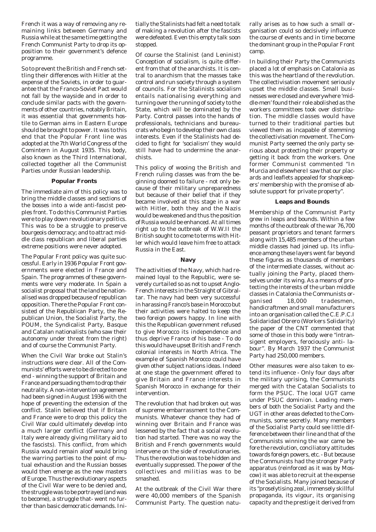French it was a way of removing any remaining links between Germany and Russia while at the same time getting the French Communist Party to drop its opposition to their government's defence programme.

So to prevent the British and French settling their differences with Hitler at the expense of the Soviets, in order to guarantee that the Franco-Soviet Pact would not fall by the wayside and in order to conclude similar pacts with the governments of other countries, notably Britain, it was essential that governments hostile to German aims in Eastern Europe should be brought to power. It was to this end that the Popular Front line was adopted at the 7th World Congress of the Comintern in August 1935. This body, also known as the Third International, collected together all the Communist Parties under Russian leadership.

#### **Popular Fronts**

The immediate aim of this policy was to bring the middle classes and sections of the bosses into a wide anti-fascist peoples front. To do this Communist Parties were to play down revolutionary politics. This was to be a struggle to preserve bourgeois democracy; and to attract middle class republican and liberal parties extreme positions were never adopted.

The Popular Front policy was quite successful. Early in 1936 Popular Front governments were elected in France and Spain. The programmes of these governments were very moderate. In Spain a socialist proposal that the land be nationalised was dropped because of republican opposition. There the Popular Front consisted of the Republican Party, the Republican Union, the Socialist Party, the POUM, the Syndicalist Party, Basque and Catalan nationalists (who saw their autonomy under threat from the right) and of course the Communist Party.

When the Civil War broke out Stalin's instructions were clear. All of the Communists' efforts were to be directed to one end - winning the support of Britain and France and persuading them to drop their neutrality. A non-intervention agreement had been signed in August 1936 with the hope of preventing the extension of the conflict. Stalin believed that if Britain and France were to drop this policy the Civil War could ultimately develop into a much larger conflict (Germany and Italy were already giving military aid to the fascists). This conflict, from which Russia would remain aloof would bring the warring parties to the point of mutual exhaustion and the Russian bosses would then emerge as the new masters of Europe. Thus the revolutionary aspects of the Civil War were to be denied and, the struggle was to be portrayed (and was to become), a struggle that- went no further than basic democratic demands. Ini-

tially the Stalinists had felt a need to talk of making a revolution after the fascists were defeated. Even this empty talk soon stopped.

Of course the Stalinist (and Leninist) Conception of socialism, is quite different from that of the anarchists. It is central to anarchism that the masses take control and run society through a system of councils. For the Stalinists socialism entails nationalising everything and turning over the running of society to the State, which will be dominated by the Party. Control passes into the hands of professionals, technicians and bureaucrats who begin to develop their own class interests. Even if the Stalinists had decided to fight for 'socialism' they would still have had to undermine the anarchists.

This policy of wooing the British and French ruling classes was from the beginning doomed to failure - not only because of their military unpreparedness but because of their belief that if they became involved at this stage in a war with Hitler, both they and the Nazis would be weakened and thus the position of Russia would be enhanced. At all times right up to the outbreak of W.W.II the British sought to come to terms with Hitler which would leave him free to attack Russia in the East.

#### **Navy**

The activities of the Navy, which had remained loyal to the Republic, were severely curtailed so as not to upset Anglo-French interests in the Straight of Gibraltar. The navy had been very successful in harassing Franco's base in Morocco but their activities were halted to keep the two foreign powers happy. In line with this the Republican government refused to give Morocco its independence and thus deprive Franco of his base - To do this would have upset British and French colonial interests in North Africa. The example of Spanish Morocco could have given other subject nations ideas. Indeed at one stage the government offered to give Britain and France interests in Spanish Morocco in exchange for their intervention.

The revolution that had broken out was of supreme embarrassment to the Communists. Whatever chance they had of winning over Britain and France was lessened by the fact that a social revolution had started. There was no way the British and French governments would intervene on the side of revolutionaries. Thus the revolution was to be hidden and eventually suppressed. The power of the collectives and militias was to be smashed.

At the outbreak of the Civil War there were 40,000 members of the Spanish Communist Party. The question natu-

rally arises as to how such a small organisation could so decisively influence the course of events and in time become the dominant group in the Popular Front camp.

In building their Party the Communists placed a lot of emphasis on Catalonia as this was the heartland of the revolution. The collectivisation movement seriously upset the middle classes. Small businesses were closed and everywhere 'middle-men' found their role abolished as the workers committees took over distribution. The middle classes would have turned to their traditional parties but viewed them as incapable of stemming the collectivisation movement. The Communist Party seemed the only party serious about protecting their property or getting it back from the workers. One former Communist commented "In Murcia and elsewhere I saw that our placards and leaflets appealed for shopkeepers' membership with the promise of absolute support for private property".

#### **Leaps and Bounds**

Membership of the Communist Party grew in leaps and bounds. Within a few months of the outbreak of the war 76,700 peasant proprietors and tenant farmers along with 15,485 members of the urban middle classes had joined up. Its influence among these layers went far beyond these figures as thousands of members of the intermediate classes, without actually joining the Party, placed themselves under its wing. As a means of protecting the interests of the urban middle classes in Catalonia the Communists organised 18,000 tradesmen, handicraftmen and small manufacturers into an organisation called the C.E.P.C.I Solidaridad Obrero (Workers Solidarity) the paper of the CNT commented that some of those in this body were "intransigent employers, ferociously anti- labour". By March 1937 the Communist Party had 250,000 members.

Other measures were also taken to extend its influence - Only four days after the military uprising, the Communists merged with the Catalan Socialists to form the PSUC. The local UGT came under PSUC dominion. Leading members of both the Socialist Party and the UGT in other areas defected to the Communists, some secretly. Many members of the Socialist Party could see little difference between their line and that of the Communists winning the war came before the revolution, conciliatory attitudes towards foreign powers, etc. - But because the Communists had the stronger Party apparatus (reinforced as it was by Moscow) it was able to recruit at the expense of the Socialists. Many joined because of its "proselytising zeal, immensely skillful propaganda, its vigour, its organising capacity and the prestige it derived from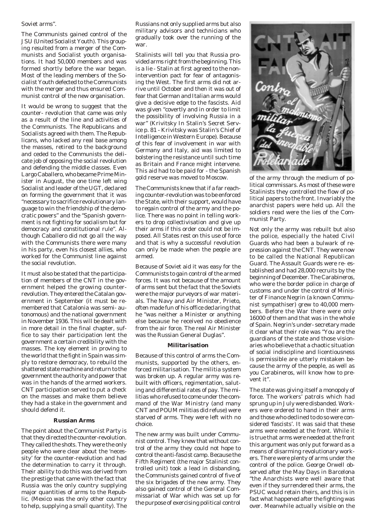#### Soviet arms".

The Communists gained control of the JSU (United Socialist Youth). This grouping resulted from a merger of the Communists and Socialist youth organisations. It had 50,000 members and was formed shortly before the war began. Most of the leading members of the Socialist Youth defected to the Communists with the merger and thus ensured Communist control of the new organisation.

It would be wrong to suggest that the counter- revolution that came was only as a result of the line and activities of the Communists. The Republicans and Socialists agreed with them. The Republicans, who lacked any real base among the masses, retired to the background and ceded to the Communists the delicate job of opposing the social revolution and defending the middle classes. Even Largo Caballero, who became Prime Minister in August, the one time left wing Socialist and leader of the UGT, declared on forming the government that it was "necessary to sacrifice revolutionary language to win the friendship of the democratic powers" and the "Spanish government is not fighting for socialism but for democracy and constitutional rule". Although Caballero did not go all the way with the Communists there were many in his party, even his closest allies, who worked for the Communist line against the social revolution.

It must also be stated that the participation of members of the CNT in the government helped the growing counterrevolution. They entered the Catalan government in September (it must be remembered that Catalonia was semi- autonomous) and the national government in November 1936. This will be dealt with in more detail in the final chapter, suffice to say their participation lent the government a certain credibility with the masses. The key element in proving to the world that the fight in Spain was simply to restore democracy, to rebuild the shattered state machine and return to the government the authority and power that was in the hands of the armed workers. CNT participation served to put a check on the masses and make them believe they had a stake in the government and should defend it.

#### **Russian Arms**

The point about the Communist Party is that they directed the counter-revolution. They called the shots. They were the only people who were clear about the 'necessity' for the counter-revolution and had the determination to carry it through. Their ability to do this was derived from the prestige that came with the fact that Russia was the only country supplying major quantities of arms to the Republic. (Mexico was the only other country to help, supplying a small quantity). The

Russians not only supplied arms but also military advisors and technicians who gradually took over the running of the war.

Stalinists will tell you that Russia provided arms right from the beginning. This is a lie - Stalin at first agreed to the nonintervention pact for fear of antagonising the West. The first arms did not arrive until October and then it was out of fear that German and Italian arms would give a decisive edge to the fascists. Aid was given "covertly and in order to limit the possibility of involving Russia in a war" (Krivitsky In Stalin's Secret Service p. 81 - Krivitsky was Stalin's Chief of Intelligence in Western Europe). Because of this fear of involvement in war with Germany and Italy, aid was limited to bolstering the resistance until such time as Britain and France might intervene. This aid had to be paid for - the Spanish gold reserve was moved to Moscow.

The Communists knew that if a far reaching counter-revolution was to be enforced the State, with their support, would have to regain control of the army and the police. There was no point in telling workers to drop collectivisation and give up their arms if this order could not be imposed. All States rest on this use of force and that is why a successful revolution can only be made when the people are armed.

Because of Soviet aid it was easy for the Communists to gain control of the armed forces. It was not because of the amount of arms sent but the fact that the Soviets were the major purveyors of war materials. The Navy and Air Minister, Prieto, often made fun of his office declaring that he "was neither a Minister or anything else because he received no obedience from the air force. The real Air Minister was the Russian General Duglas".

#### **Militarisation**

Because of this control of arms the Communists, supported by the others, enforced militarisation. The militia system was broken up. A regular army was rebuilt with officers, regimentation, saluting and differential rates of pay. The militias who refused to come under the command of the War Ministry (and many CNT and POUM militias did refuse) were starved of arms. They were left with no choice.

The new army was built under Communist control. They knew that without control of the army they could not hope to control the anti-fascist camp. Because the Fifth Regiment (the major Stalinist controlled unit) took a lead in disbanding, the Communists gained control of five of the six brigades of the new army. They also gained control of the General Commissariat of War which was set up for the purpose of exercising political control



of the army through the medium of political commissars. As most of these were Stalinists they controlled the flow of political papers to the front. Invariably the anarchist papers were held up. All the soldiers read were the lies of the Communist Party.

Not only the army was rebuilt but also the police, especially the hated Civil Guards who had been a bulwark of repression against the CNT. They were now to be called the National Republican Guard. The Assault Guards were re- established and had 28,000 recruits by the beginning of December. The Carabineros, who were the border police in charge of customs and under the control of Minister of Finance Negrin (a known Communist sympathiser) grew to 40,000 members. Before the War there were only 16000 of them and that was in the whole of Spain. Negrin's under- secretary made it clear what their role was "You are the guardians of the state and those visionaries who believe that a chaotic situation of social indiscipline and licentiousness is permissible are utterly mistaken because the army of the people, as well as you Carabineros, will know how to prevent it".

The state was giving itself a monopoly of force. The workers' patrols which had sprung up in July were disbanded. Workers were ordered to hand in their arms and those who declined to do so were considered 'fascists'. It was said that these arms were needed at the front. While it is true that arms were needed at the front this argument was only put forward as a means of disarming revolutionary workers. There were plenty of arms under the control of the police. George Orwell observed after the May Days in Barcelona "the Anarchists were well aware that even if they surrendered their arms, the PSUC would retain theirs, and this is in fact what happened after the fighting was over. Meanwhile actually visible on the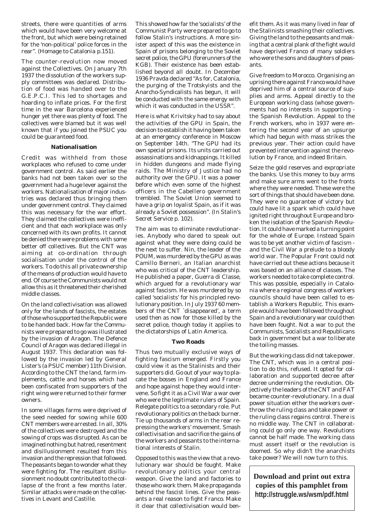streets, there were quantities of arms which would have been very welcome at the front, but which were being retained for the 'non-political' police forces in the rear". (Homage to Catalonia p.151).

The counter-revolution now moved against the Collectives. On January 7th 1937 the dissolution of the workers supply committees was declared. Distribution of food was handed over to the G.E.P.C.I. This led to shortages and hoarding to inflate prices. For the first time in the war Barcelona experienced hunger yet there was plenty of food. The collectives were blamed but it was well known that if you joined the PSUC you could be guaranteed food.

#### **Nationalisation**

Credit was withheld from those workplaces who refused to come under government control. As said earlier the banks had not been taken over so the government had a huge lever against the workers. Nationalisation of major industries was declared thus bringing them under government control. They claimed this was necessary for the war effort. They claimed the collectives were inefficient and that each workplace was only concerned with its own profits. It cannot be denied there were problems with some better off collectives. But the CNT was aiming at co-ordination through socialisation under the control of the workers. To do this all private ownership of the means of production would have to end. Of course the Communists would not allow this as it threatened their cherished middle classes.

On the land collectivisation was allowed only for the lands of fascists, the estates of those who supported the Republic were to be handed back. How far the Communists were prepared to go was illustrated by the invasion of Aragon. The Defence Council of Aragon was declared illegal in August 1937. This declaration was followed by the invasion led by General Lister's (a PSUC member) 11th Division. According to the CNT the land, farm implements, cattle and horses which had been confiscated from supporters of the right wing were returned to their former owners.

In some villages farms were deprived of the seed needed for sowing while 600 CNT members were arrested. In all, 30% of the collectives were destroyed and the sowing of crops was disrupted. As can be imagined nothing but hatred, resentment and disillusionment resulted from this invasion and the repression that followed. The peasants began to wonder what they were fighting for. The resultant disillusionment no doubt contributed to the collapse of the front a few months later. Similar attacks were made on the collectives in Levant and Castille.

This showed how far the 'socialists' of the Communist Party were prepared to go to follow Stalin's instructions. A more sinister aspect of this was the existence in Spain of prisons belonging to the Soviet secret police, the GPU (forerunners of the KGB). Their existence has been established beyond all doubt. In December 1936 Pravda declared "As for, Catalonia, the purging of the Trotskyists and the Anarcho-Syndicalists has begun, it will be conducted with the same energy with which it was conducted in the USSR".

Here is what Krivitsky had to say about the activities of the GPU in Spain, the decision to establish it having been taken at an emergency conference in Moscow on September 14th. "The GPU had its own special prisons. Its units carried out assassinations and kidnappings. It killed in hidden dungeons and made flying raids. The Ministry of Justice had no authority over the GPU. It was a power before which even some of the highest officers in the Cabellero government trembled. The Soviet Union seemed to have a grip on loyalist Spain, as if it was already a Soviet possession". (In Stalin's Secret Service p. 102).

The aim was to eliminate revolutionaries. Anybody who dared to speak out against what they were doing could be the next to suffer. Nin, the leader of the POUM, was murdered by the GPU as was Camillo Berneri, an Italian anarchist who was critical of the CNT leadership. He published a paper, Guerra di Classe, which argued for a revolutionary war against fascism. He was murdered by so called 'socialists' for his principled revolutionary position. In July 1937 60 members of the CNT `disappeared', a term used then as now for those killed by the secret police, though today it applies to the dictatorships of Latin America.

#### **Two Roads**

Thus two mutually exclusive ways of fighting fascism emerged. Firstly you could view it as the Stalinists and their supporters did. Go out of your way to placate the bosses in England and France and hope against hope they would intervene. So fight it as a Civil War a war over who were the legitimate rulers of Spain. Relegate politics to a secondary role. Put revolutionary politics on the back burner. Tie up thousands of arms in the rear repressing the workers' movement. Smash collectivisation and sacrifice the gains of the workers and peasants to the international interests of Stalin.

Opposed to this was the view that a revolutionary war should be fought. Make revolutionary politics your central weapon. Give the land and factories to those who work them. Make propaganda behind the fascist lines. Give the peasants a real reason to fight Franco. Make it clear that collectivisation would ben-

efit them. As it was many lived in fear of the Stalinists smashing their collectives. Giving the land to the peasants and making that a central plank of the fight would have deprived Franco of many soldiers who were the sons and daughters of peasants.

Give freedom to Morocco. Organising an uprising there against Franco would have deprived him of a central source of supplies and arms. Appeal directly to the European working class (whose governments had no interests in supporting the Spanish Revolution. Appeal to the French workers, who in 1937 were entering the second year of an upsurge which had begun with mass strikes the previous year. Their action could have prevented intervention against the revolution by France, and indeed Britain.

Seize the gold reserves and expropriate the banks. Use this money to buy arms and make sure arms went to the fronts where they were needed. These were the sort of things that should have been done. They were no guarantee of victory but could have lit a spark which could have ignited right throughout Europe and broken the isolation of the Spanish Revolution. It could have marked a turning point for the whole of Europe. Instead Spain was to be yet another victim of fascism and the Civil War a prelude to a bloody world war. The Popular Front could not have carried out these actions because it was based on an alliance of classes. The workers needed to take complete control. This was possible, especially in Catalonia where a regional congress of workers councils should have been called to establish a Workers Republic. This example would have been followed throughout Spain and a revolutionary war could then have been fought. Not a war to put the Communists, Socialists and Republicans back in government but a war to liberate the toiling masses.

But the working class did not take power. The CNT, which was in a central position to do this, refused. It opted for collaboration and supported decree after decree undermining the revolution. Objectively the leaders of the CNT and FAT became counter-revolutionary. In a dual power situation either the workers overthrow the ruling class and take power or the ruling class regains control. There is no middle way. The CNT in collaborating could go only one way. Revolutions cannot be half made. The working class must assert itself or the revolution is doomed. So why didn't the anarchists take power? We will now turn to this.

**Download and print out extra copies of this pamphlet from http://struggle.ws/wsm/pdf.html**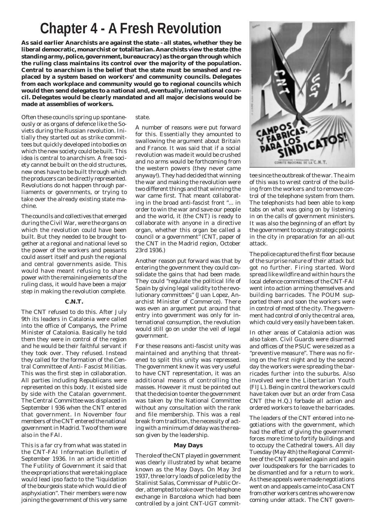# **Chapter 4 - A Fresh Revolution**

**As said earlier Anarchists are against the state - all states, whether they be liberal democratic, monarchist or totalitarian. Anarchists view the state (the standing army, police, government, bureaucracy) as the organ through which the ruling class maintains its control over the majority of the population. Central to anarchism is the belief that the state must be smashed and replaced by a system based on workers' and community councils. Delegates from each workplace and community would go to regional councils which would then send delegates to a national and, eventually, international council. Delegates would be clearly mandated and all major decisions would be made at assemblies of workers.**

Often these councils spring up spontaneously or as organs of defence like the Soviets during the Russian revolution. Initially they started out as strike committees but quickly developed into bodies on which the new society could be built. This idea is central to anarchism. A free society cannot be built on the old structures, new ones have to be built through which the producers can be directly represented. Revolutions do not happen through parliaments or governments, or trying to take over the already existing state machine.

The councils and collectives that emerged during the Civil War, were the organs on which the revolution could have been built. But they needed to be brought together at a regional and national level so the power of the workers and peasants could assert itself and push the regional and central governments aside. This would have meant refusing to share power with the remaining elements of the ruling class, it would have been a major step in making the revolution complete.

#### **C.N.T.**

The CNT refused to do this. After July 9th its leaders in Catalonia were called into the office of Companys, the Prime Minister of Catalonia. Basically he told them they were in control of the region and he would be their faithful servant if they took over. They refused. Instead they called for the formation of the Central Committee of Anti- Fascist Militias. This was the first step in collaboration. All parties including Republicans were represented on this body. It existed side by side with the Catalan government. The Central Committee was displaced in September I 936 when the CNT entered that government. In November four members of the CNT entered the national government in Madrid. Two of them were also in the FAI.

This is a far cry from what was stated in the CNT-FAI Information Bulletin of September 1936. In an article entitled The Futility of Government it said that the expropriations that were taking place would lead ipso facto to the "liquidation of the bourgeois state which would die of asphyxiation". Their members were now joining the government of this very same

#### state.

A number of reasons were put forward for this. Essentially they amounted to swallowing the argument about Britain and France. It was said that if a social revolution was made it would be crushed and no arms would be forthcoming from the western powers (they never came anyway!). They had decided that winning the war and making the revolution were two different things and that winning the war came first. That meant collaborating in the broad anti-fascist front "... in order to win the war and save our people and the world, it (the CNT) is ready to collaborate with anyone in a directive organ, whether this organ be called a council or a government" (CNT, paper of the CNT in the Madrid region, October 23rd 1936.)

Another reason put forward was that by entering the government they could consolidate the gains that had been made. They could "regulate the political life of Spain by giving legal validity to the revolutionary committees" (Juan Lopez, Anarchist Minister of Commerce). There was even an argument put around that entry into government was only for international consumption, the revolution would still go on under the veil of legal government.

For these reasons anti-fascist unity was maintained and anything that threatened to split this unity was repressed. The government knew it was very useful to have CNT representation, it was an additional means of controlling the masses. However it must be pointed out that the decision to enter the government was taken by the National Committee without any consultation with the rank and file membership. This was a real break from tradition, the necessity of acting with a minimum of delay was the reason given by the leadership.

#### **May Days**

The role of the CNT played in government was clearly illustrated by what became known as the May Days. On May 3rd 1937, three lorry loads of police led by the Stalinist Salas, Commissar of Public Order, attempted to take over the telephone exchange in Barcelona which had been controlled by a joint CNT-UGT commit-



tee since the outbreak of the war. The aim of this was to wrest control of the building from the workers and to remove control of the telephone system from them. The telephonists had been able to keep tabs on what was going on by listening in on the calls of government ministers. It was also the beginning of an effort by the government to occupy strategic points in the city in preparation for an all-out attack.

The police captured the first floor because of the surprise nature of their attack but got no further. Firing started. Word spread like wildfire and within hours the local defence committees of the CNT-FAI went into action arming themselves and building barricades. The POUM supported them and soon the workers were in control of most of the city. The government had control of only the central area, which could very easily have been taken.

In other areas of Catalonia action was also taken. Civil Guards were disarmed and offices of the PSUC were seized as a "preventive measure". There was no firing on the first night and by the second day the workers were spreading the barricades further into the suburbs. Also involved were the Libertarian Youth (FIJL). Being in control the workers could have taken over but an order from Casa CNT (the H.Q.) forbade all action and ordered workers to leave the barricades.

The leaders of the CNT entered into negotiations with the government, which had the effect of giving the government forces more time to fortify buildings and to occupy the Cathedral towers. All day Tuesday (May 4th) the Regional Committee of the CNT appealed again and again over loudspeakers for the barricades to be dismantled and for a return to work. As these appeals were made negotiations went on and appeals came into Casa CNT from other workers centres who were now coming under attack. The CNT govern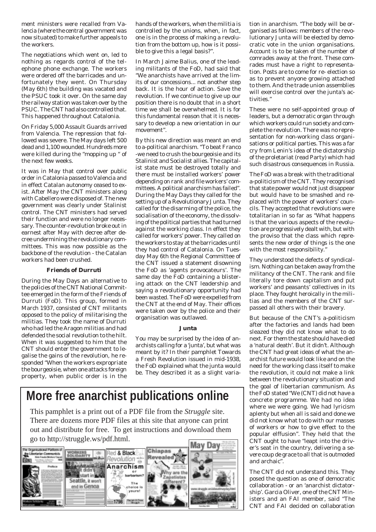ment ministers were recalled from Valencia (where the central government was now situated) to make further appeals to the workers.

The negotiations which went on, led to nothing as regards control of the telephone phone exchange. The workers were ordered off the barricades and unfortunately they went. On Thursday (May 6th) the building was vacated and the PSUC took it over. On the same day the railway station was taken over by the PSUC. The CNT had also controlled that. This happened throughout Catalonia.

On Friday 5,000 Assault Guards arrived from Valencia. The repression that followed was severe. The May days left 500 dead and 1,100 wounded. Hundreds more were killed during the "mopping up " of the next few weeks.

It was in May that control over public order in Catalonia passed to Valencia and in effect Catalan autonomy ceased to exist. After May the CNT ministers along with Cabellero were disposed of. The new government was clearly under Stalinist control. The CNT ministers had served their function and were no longer necessary. The counter-revolution broke out in earnest after May with decree after decree undermining the revolutionary committees. This was now possible as the backbone of the revolution - the Catalan workers had been crushed.

#### **Friends of Durruti**

During the May Days an alternative to the policies of the CNT National Committee emerged in the form of the Friends of Durruti (FoD). This group, formed in March 1937, consisted of CNT militants opposed to the policy of militarising the militias. They took the name of Durruti who had led the Aragon militias and had defended the social revolution to the hilt. When it was suggested to him that the CNT should enter the government to legalise the gains of the revolution, he responded "When the workers expropriate the bourgeoisie, when one attacks foreign property, when public order is in the

hands of the workers, when the militia is controlled by the unions, when, in fact, one is in the process of making a revolution from the bottom up, how is it possible to give this a legal basis?".

In March Jaime Balius, one of the leading militants of the FoD, had said that "We anarchists have arrived at the limits of our concessions... not another step back. It is the hour of action. Save the revolution. If we continue to give up our position there is no doubt that in a short time we shall be overwhelmed. It is for this fundamental reason that it is necessary to develop a new orientation in our movement".

By this new direction was meant an end to a-political anarchism. "To beat Franco -we need to crush the bourgeoisie and its Stalinist and Socialist allies. The capitalist state must be destroyed totally and there must be installed workers' power depending on rank and file workers' committees. A political anarchism has failed". During the May Days they called for the setting up of a Revolutionary Junta. They called for the disarming of the police, the socialisation of the economy, the dissolving of the political parties that had turned against the working class. In effect they called for workers' power. They called on the workers to stay at the barricades until they had control of Catalonia. On Tuesday May 6th the Regional Committee of the CNT issued a statement disowning the FoD as 'agents provocateurs'. The same day the FoD containing a blistering attack on the CNT leadership and saying a revolutionary opportunity had been wasted. The FoD were expelled from the CNT at the end of May. Their offices were taken over by the police and their organisation was outlawed.

#### **Junta**

You may be surprised by the idea of anarchists calling for a 'junta', but what was meant by it? In their pamphlet Towards a Fresh Revolution issued in mid-1938, the FoD explained what the junta would be. They described it as a slight varia-

# **More free anarchist publications online**

This pamphlet is a print out of a PDF file from the *Struggle* site. There are dozens more PDF files at this site that anyone can print out and distribute for free. To get instructions and download them go to http://struggle.ws/pdf.html.



tion in anarchism. "The body will be organised as follows: members of the revolutionary Junta will be elected by democratic vote in the union organisations. Account is to be taken of the number of comrades away at the front. These comrades must have a right to representation. Posts are to come for re- election so as to prevent anyone growing attached to them. And the trade union assemblies will exercise control over the junta's activities."

These were no self-appointed group of leaders, but a democratic organ through which workers could run society and complete the revolution. There was no representation for non-working class organisations or political parties. This was a far cry from Lenin's idea of the dictatorship of the proletariat (read Party) which had such disastrous consequences in Russia.

The FoD was a break with the traditional a-politicism of the CNT. They recognised that state power would not just disappear but would have to be smashed and replaced with the power of workers' councils. They accepted that revolutions were totalitarian in so far as "What happens is that the various aspects of the revolution are progressively dealt with, but with the proviso that the class which represents the new order of things is the one with the most responsibility."

They understood the defects of syndicalism. Nothing can be taken away from the militancy of the CNT. The rank and file literally tore down capitalism and put workers' and peasants' collectives in its place. They fought heroically in the militias and the members of the CNT surpassed all others with their bravery.

But because of the CNT's a-politicism after the factories and lands had been sleazed they did not know what to do next. For them the state should have died a 'natural death'. But it didn't. Although the CNT had great ideas of what the anarchist future would look like and on the need for the working class itself to make the revolution, it could not make a link between the revolutionary situation and the goal of libertarian communism. As the FoD stated "We (CNT) did not have a concrete programme. We had no idea where we were going. We had lyricism aplenty but when all is said and done we did not know what to do with our masses of workers or how to give effect to the popular elffusion". They held that the CNT ought to have "leapt into the driver's seat in the country, delivering a severe coup de grace to all that is outmoded and archaic".

The CNT did not understand this. They posed the question as one of democratic collaboration - or an 'anarchist dictatorship'. Garcia Oliver, one of the CNT Ministers and an FAI member, said "The CNT and FAI decided on collaboration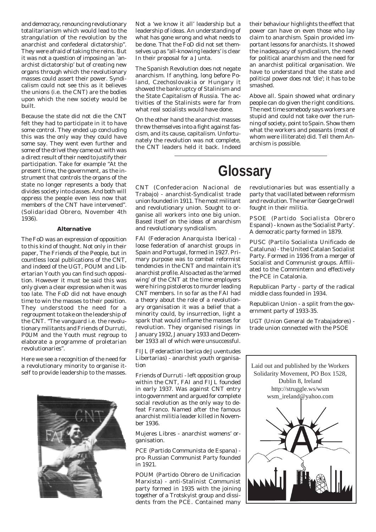and democracy, renouncing revolutionary totalitarianism which would lead to the strangulation of the revolution by the anarchist and confederal dictatorship". They were afraid of taking the reins. But it was not a question of imposing an `anarchist dictatorship' but of creating new organs through which the revolutionary masses could assert their power. Syndicalism could not see this as it believes the unions (i.e. the CNT) are the bodies upon which the new society would be built.

Because the state did not die the CNT felt they had to participate in it to have some control. They ended up concluding this was the only way they could have some say. They went even further and some of the drivel they came out with was a direct result of their need to justify their participation. Take for example "At the present time, the government, as the instrument that controls the organs of the state no longer represents a body that divides society into classes. And both will oppress the people even less now that members of the CNT have intervened". (Solidaridad Obrero, November 4th 1936).

#### **Alternative**

The FoD was an expression of opposition to this kind of thought. Not only in their paper, The Friends of the People, but in countless local publications of the CNT, and indeed of the UGT, POUM and Libertarian Youth you can find such opposition. However it must be said this was only given a clear expression when it was too late. The FoD did not have enough time to win the masses to their position. They understood the need for a regroupment to take on the leadership of the CNT. "The vanguard i.e. the revolutionary militants and Friends of Durruti, P0UM and the Youth must regroup to elaborate a programme of proletarian revolutionaries".

Here we see a recognition of the need for a revolutionary minority to organise itself to provide leadership to the masses.



Not a 'we know it all' leadership but a leadership of ideas. An understanding of what has gone wrong and what needs to be done. That the FoD did not set themselves up as "all-knowing leaders' is clear In their proposal for a Junta.

The Spanish Revolution does not negate anarchism. If anything, long before Poland, Czechoslovakia or Hungary it showed the bankruptcy of Stalinism and the State Capitalism of Russia. The activities of the Stalinists were far from what real socialists would have done.

On the other hand the anarchist masses threw themselves into a fight against fascism, and its cause, capitalism. Unfortunately the revolution was not complete, the CNT leaders held it back. Indeed

their behaviour highlights the effect that power can have on even those who lay claim to anarchism. Spain provided important lessons for anarchists. It showed the inadequacy of syndicalism, the need for political anarchism and the need for an anarchist political organisation. We have to understand that the state and political power does not 'die'; it has to be smashed.

Above all. Spain showed what ordinary people can do given the right conditions. The next time somebody says workers are stupid and could not take over the running of society, point to Spain. Show them what the workers and peasants (most of whom were illiterate) did. Tell them Anarchism is possible.

# **Glossary**

CNT (Confederacion Nacional de Trabajo) - anarchist-Syndicalist trade union founded in 1911. The most militant and revolutionary union. Sought to organise all workers into one big union. Based itself on the ideas of anarchism and revolutionary syndicalism.

FAI (Federacion Anarquista Iberica) loose federation of anarchist groups in Spain and Portugal, formed in 1927. Primary purpose was to combat reformist tendencies in the CNT and maintain it's anarchist profile. Also acted as the 'armed wing' of the CNT at the time employers were hiring pistoleros to murder leading CNT members. In so far as the FAI had a theory about the role of a revolutionary organisation it was a belief that a minority could, by insurrection, light a spark that would inflame the masses for revolution. They organised risings in January 1932, January 1933 and December 1933 all of which were unsuccessful.

FIJL (Federaction Iberica de Juventudes Libertarias) - anarchist youth organisation

Friends of Durruti - left opposition group within the CNT, FAI and FIJL founded in early 1937. Was against CNT entry into government and argued for complete social revolution as the only way to defeat Franco. Named after the famous anarchist militia leader killed in November 1936.

Mujeres Libres - anarchist womens' organisation.

PCE (Partido Communista de Espana) pro- Russian Communist Party founded in 1921.

POUM (Partido Obrero de Unificacion Marxista) - anti-Stalinist Communist party formed in 1935 with the joining together of a Trotskyist group and dissidents from the PCE. Contained many

# revolutionaries but was essentially a party that vacillated between reformism and revolution. The writer George Orwell

fought in their militia.

PSOE (Partido Socialista Obrero Espanol) - known as the 'Socialist Party'. A democratic party formed in 1879.

PUSC (Partilo Socialista Unificado de Cataluna) - the United Catalan Socialist Party. Formed in 1936 from a merger of Socialist and Communist groups. Affiliated to the Commintern and effectively the PCE in Catalonia.

Republican Party - party of the radical middle class founded in 1934.

Republican Union - a split from the government party of 1933-35.

UGT (Union General de Trabajadores) trade union connected with the PSOE